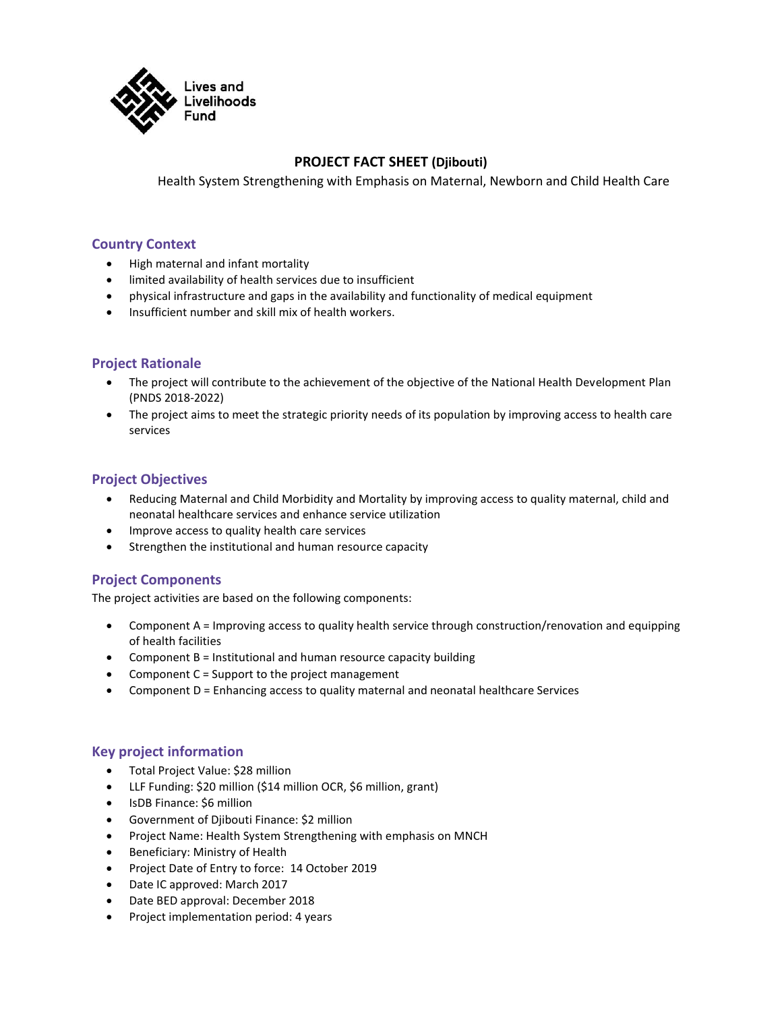

# **PROJECT FACT SHEET (Djibouti)**

Health System Strengthening with Emphasis on Maternal, Newborn and Child Health Care

#### **Country Context**

- High maternal and infant mortality
- limited availability of health services due to insufficient
- physical infrastructure and gaps in the availability and functionality of medical equipment
- Insufficient number and skill mix of health workers.

#### **Project Rationale**

- The project will contribute to the achievement of the objective of the National Health Development Plan (PNDS 2018-2022)
- The project aims to meet the strategic priority needs of its population by improving access to health care services

## **Project Objectives**

- Reducing Maternal and Child Morbidity and Mortality by improving access to quality maternal, child and neonatal healthcare services and enhance service utilization
- Improve access to quality health care services
- Strengthen the institutional and human resource capacity

## **Project Components**

The project activities are based on the following components:

- Component A = Improving access to quality health service through construction/renovation and equipping of health facilities
- Component  $B =$  Institutional and human resource capacity building
- Component  $C =$  Support to the project management
- Component D = Enhancing access to quality maternal and neonatal healthcare Services

## **Key project information**

- Total Project Value: \$28 million
- LLF Funding: \$20 million (\$14 million OCR, \$6 million, grant)
- IsDB Finance: \$6 million
- Government of Djibouti Finance: \$2 million
- Project Name: Health System Strengthening with emphasis on MNCH
- Beneficiary: Ministry of Health
- Project Date of Entry to force: 14 October 2019
- Date IC approved: March 2017
- Date BED approval: December 2018
- Project implementation period: 4 years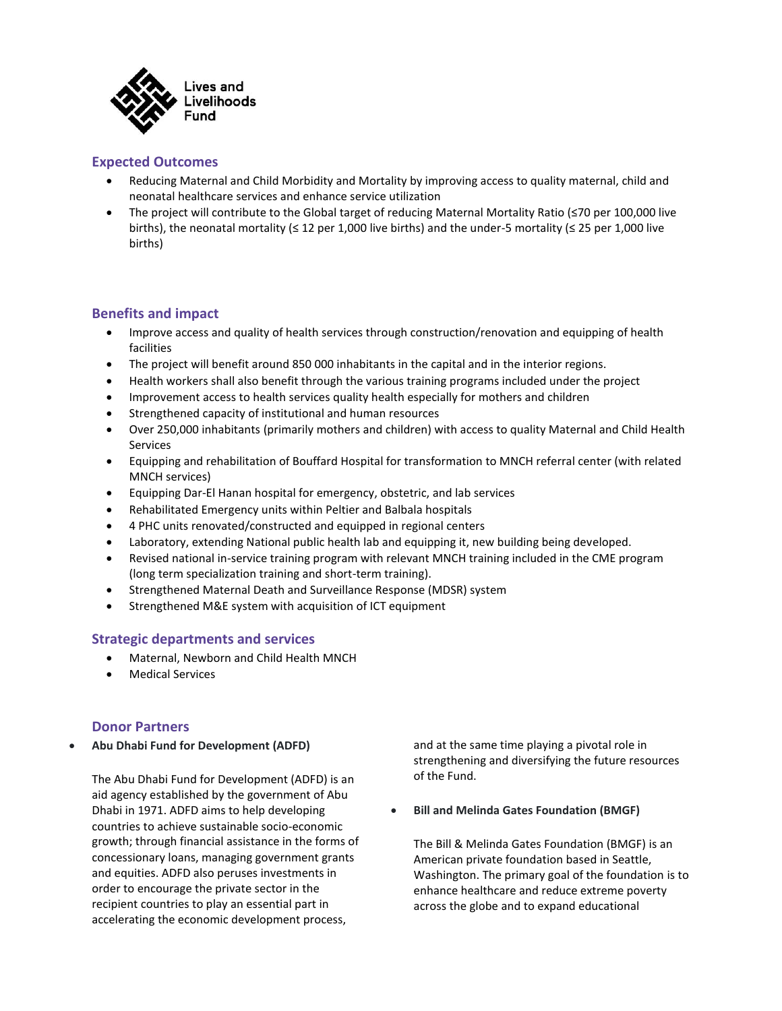

# **Expected Outcomes**

- Reducing Maternal and Child Morbidity and Mortality by improving access to quality maternal, child and neonatal healthcare services and enhance service utilization
- The project will contribute to the Global target of reducing Maternal Mortality Ratio (≤70 per 100,000 live births), the neonatal mortality ( $\leq 12$  per 1,000 live births) and the under-5 mortality ( $\leq 25$  per 1,000 live births)

## **Benefits and impact**

- Improve access and quality of health services through construction/renovation and equipping of health facilities
- The project will benefit around 850 000 inhabitants in the capital and in the interior regions.
- Health workers shall also benefit through the various training programs included under the project
- Improvement access to health services quality health especially for mothers and children
- Strengthened capacity of institutional and human resources
- Over 250,000 inhabitants (primarily mothers and children) with access to quality Maternal and Child Health Services
- Equipping and rehabilitation of Bouffard Hospital for transformation to MNCH referral center (with related MNCH services)
- Equipping Dar-El Hanan hospital for emergency, obstetric, and lab services
- Rehabilitated Emergency units within Peltier and Balbala hospitals
- 4 PHC units renovated/constructed and equipped in regional centers
- Laboratory, extending National public health lab and equipping it, new building being developed.
- Revised national in-service training program with relevant MNCH training included in the CME program (long term specialization training and short-term training).
- Strengthened Maternal Death and Surveillance Response (MDSR) system
- Strengthened M&E system with acquisition of ICT equipment

## **Strategic departments and services**

- Maternal, Newborn and Child Health MNCH
- Medical Services

## **Donor Partners**

• **Abu Dhabi Fund for Development (ADFD)**

The Abu Dhabi Fund for Development (ADFD) is an aid agency established by the government of Abu Dhabi in 1971. ADFD aims to help developing countries to achieve sustainable socio-economic growth; through financial assistance in the forms of concessionary loans, managing government grants and equities. ADFD also peruses investments in order to encourage the private sector in the recipient countries to play an essential part in accelerating the economic development process,

and at the same time playing a pivotal role in strengthening and diversifying the future resources of the Fund.

• **Bill and Melinda Gates Foundation (BMGF)**

The Bill & Melinda Gates Foundation (BMGF) is an American private foundation based in Seattle, Washington. The primary goal of the foundation is to enhance healthcare and reduce extreme poverty across the globe and to expand educational